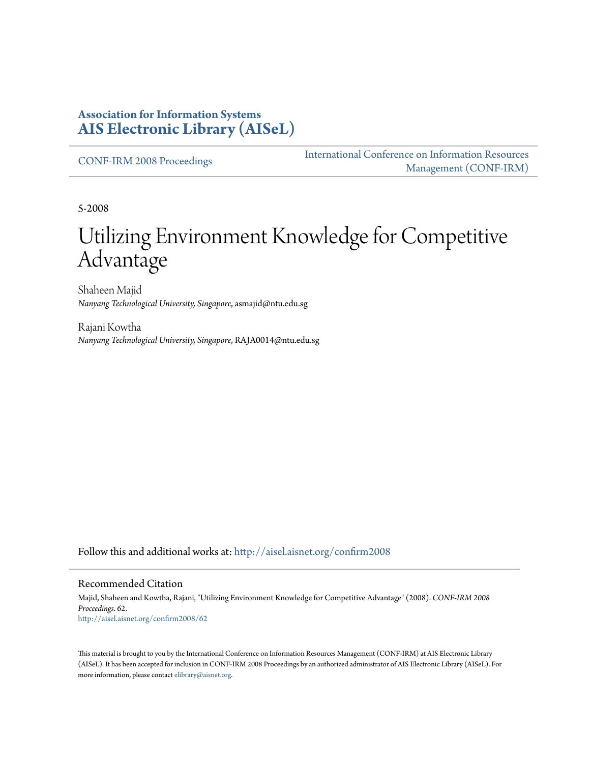### **Association for Information Systems [AIS Electronic Library \(AISeL\)](http://aisel.aisnet.org?utm_source=aisel.aisnet.org%2Fconfirm2008%2F62&utm_medium=PDF&utm_campaign=PDFCoverPages)**

[CONF-IRM 2008 Proceedings](http://aisel.aisnet.org/confirm2008?utm_source=aisel.aisnet.org%2Fconfirm2008%2F62&utm_medium=PDF&utm_campaign=PDFCoverPages)

[International Conference on Information Resources](http://aisel.aisnet.org/conf-irm?utm_source=aisel.aisnet.org%2Fconfirm2008%2F62&utm_medium=PDF&utm_campaign=PDFCoverPages) [Management \(CONF-IRM\)](http://aisel.aisnet.org/conf-irm?utm_source=aisel.aisnet.org%2Fconfirm2008%2F62&utm_medium=PDF&utm_campaign=PDFCoverPages)

5-2008

# Utilizing Environment Knowledge for Competitive Advantage

Shaheen Majid *Nanyang Technological University, Singapore*, asmajid@ntu.edu.sg

Rajani Kowtha *Nanyang Technological University, Singapore*, RAJA0014@ntu.edu.sg

Follow this and additional works at: [http://aisel.aisnet.org/confirm2008](http://aisel.aisnet.org/confirm2008?utm_source=aisel.aisnet.org%2Fconfirm2008%2F62&utm_medium=PDF&utm_campaign=PDFCoverPages)

#### Recommended Citation

Majid, Shaheen and Kowtha, Rajani, "Utilizing Environment Knowledge for Competitive Advantage" (2008). *CONF-IRM 2008 Proceedings*. 62. [http://aisel.aisnet.org/confirm2008/62](http://aisel.aisnet.org/confirm2008/62?utm_source=aisel.aisnet.org%2Fconfirm2008%2F62&utm_medium=PDF&utm_campaign=PDFCoverPages)

This material is brought to you by the International Conference on Information Resources Management (CONF-IRM) at AIS Electronic Library (AISeL). It has been accepted for inclusion in CONF-IRM 2008 Proceedings by an authorized administrator of AIS Electronic Library (AISeL). For more information, please contact [elibrary@aisnet.org.](mailto:elibrary@aisnet.org%3E)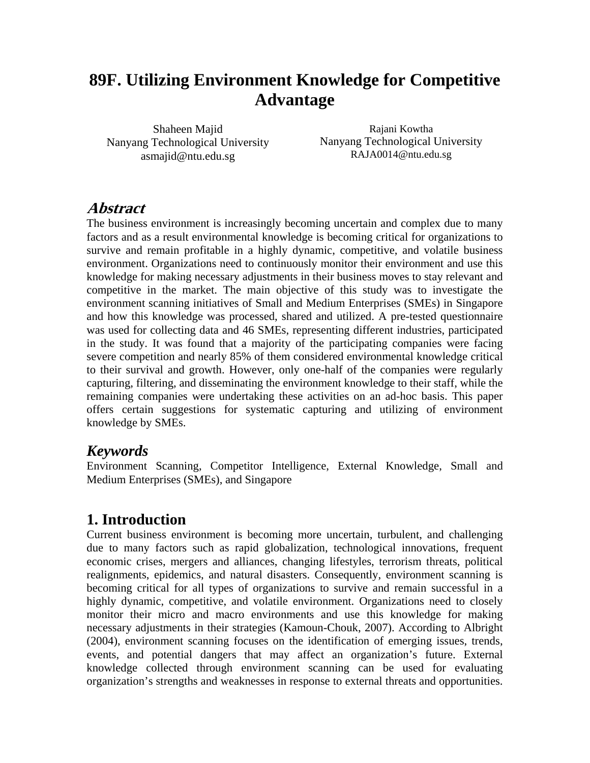## **89F. Utilizing Environment Knowledge for Competitive Advantage**

Shaheen Majid Nanyang Technological University asmajid@ntu.edu.sg

Rajani Kowtha Nanyang Technological University RAJA0014@ntu.edu.sg

## **Abstract**

The business environment is increasingly becoming uncertain and complex due to many factors and as a result environmental knowledge is becoming critical for organizations to survive and remain profitable in a highly dynamic, competitive, and volatile business environment. Organizations need to continuously monitor their environment and use this knowledge for making necessary adjustments in their business moves to stay relevant and competitive in the market. The main objective of this study was to investigate the environment scanning initiatives of Small and Medium Enterprises (SMEs) in Singapore and how this knowledge was processed, shared and utilized. A pre-tested questionnaire was used for collecting data and 46 SMEs, representing different industries, participated in the study. It was found that a majority of the participating companies were facing severe competition and nearly 85% of them considered environmental knowledge critical to their survival and growth. However, only one-half of the companies were regularly capturing, filtering, and disseminating the environment knowledge to their staff, while the remaining companies were undertaking these activities on an ad-hoc basis. This paper offers certain suggestions for systematic capturing and utilizing of environment knowledge by SMEs.

## *Keywords*

Environment Scanning, Competitor Intelligence, External Knowledge, Small and Medium Enterprises (SMEs), and Singapore

## **1. Introduction**

Current business environment is becoming more uncertain, turbulent, and challenging due to many factors such as rapid globalization, technological innovations, frequent economic crises, mergers and alliances, changing lifestyles, terrorism threats, political realignments, epidemics, and natural disasters. Consequently, environment scanning is becoming critical for all types of organizations to survive and remain successful in a highly dynamic, competitive, and volatile environment. Organizations need to closely monitor their micro and macro environments and use this knowledge for making necessary adjustments in their strategies (Kamoun-Chouk, 2007). According to Albright (2004), environment scanning focuses on the identification of emerging issues, trends, events, and potential dangers that may affect an organization's future. External knowledge collected through environment scanning can be used for evaluating organization's strengths and weaknesses in response to external threats and opportunities.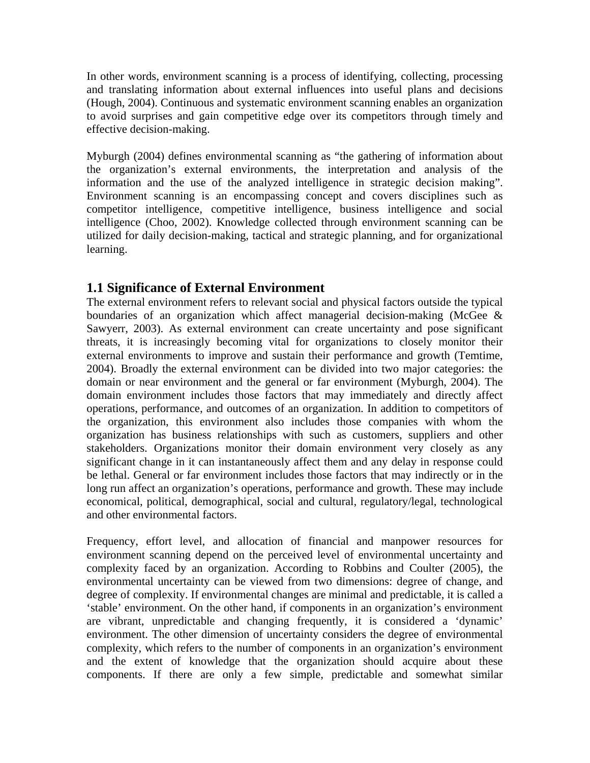In other words, environment scanning is a process of identifying, collecting, processing and translating information about external influences into useful plans and decisions (Hough, 2004). Continuous and systematic environment scanning enables an organization to avoid surprises and gain competitive edge over its competitors through timely and effective decision-making.

Myburgh (2004) defines environmental scanning as "the gathering of information about the organization's external environments, the interpretation and analysis of the information and the use of the analyzed intelligence in strategic decision making". Environment scanning is an encompassing concept and covers disciplines such as competitor intelligence, competitive intelligence, business intelligence and social intelligence (Choo, 2002). Knowledge collected through environment scanning can be utilized for daily decision-making, tactical and strategic planning, and for organizational learning.

#### **1.1 Significance of External Environment**

The external environment refers to relevant social and physical factors outside the typical boundaries of an organization which affect managerial decision-making (McGee & Sawyerr, 2003). As external environment can create uncertainty and pose significant threats, it is increasingly becoming vital for organizations to closely monitor their external environments to improve and sustain their performance and growth (Temtime, 2004). Broadly the external environment can be divided into two major categories: the domain or near environment and the general or far environment (Myburgh, 2004). The domain environment includes those factors that may immediately and directly affect operations, performance, and outcomes of an organization. In addition to competitors of the organization, this environment also includes those companies with whom the organization has business relationships with such as customers, suppliers and other stakeholders. Organizations monitor their domain environment very closely as any significant change in it can instantaneously affect them and any delay in response could be lethal. General or far environment includes those factors that may indirectly or in the long run affect an organization's operations, performance and growth. These may include economical, political, demographical, social and cultural, regulatory/legal, technological and other environmental factors.

Frequency, effort level, and allocation of financial and manpower resources for environment scanning depend on the perceived level of environmental uncertainty and complexity faced by an organization. According to Robbins and Coulter (2005), the environmental uncertainty can be viewed from two dimensions: degree of change, and degree of complexity. If environmental changes are minimal and predictable, it is called a 'stable' environment. On the other hand, if components in an organization's environment are vibrant, unpredictable and changing frequently, it is considered a 'dynamic' environment. The other dimension of uncertainty considers the degree of environmental complexity, which refers to the number of components in an organization's environment and the extent of knowledge that the organization should acquire about these components. If there are only a few simple, predictable and somewhat similar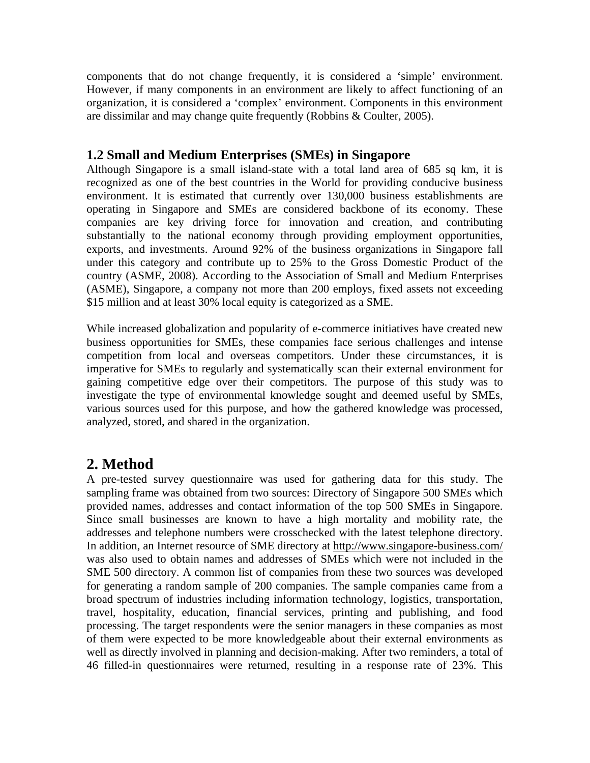components that do not change frequently, it is considered a 'simple' environment. However, if many components in an environment are likely to affect functioning of an organization, it is considered a 'complex' environment. Components in this environment are dissimilar and may change quite frequently (Robbins & Coulter, 2005).

#### **1.2 Small and Medium Enterprises (SMEs) in Singapore**

Although Singapore is a small island-state with a total land area of 685 sq km, it is recognized as one of the best countries in the World for providing conducive business environment. It is estimated that currently over 130,000 business establishments are operating in Singapore and SMEs are considered backbone of its economy. These companies are key driving force for innovation and creation, and contributing substantially to the national economy through providing employment opportunities, exports, and investments. Around 92% of the business organizations in Singapore fall under this category and contribute up to 25% to the Gross Domestic Product of the country (ASME, 2008). According to the Association of Small and Medium Enterprises (ASME), Singapore, a company not more than 200 employs, fixed assets not exceeding \$15 million and at least 30% local equity is categorized as a SME.

While increased globalization and popularity of e-commerce initiatives have created new business opportunities for SMEs, these companies face serious challenges and intense competition from local and overseas competitors. Under these circumstances, it is imperative for SMEs to regularly and systematically scan their external environment for gaining competitive edge over their competitors. The purpose of this study was to investigate the type of environmental knowledge sought and deemed useful by SMEs, various sources used for this purpose, and how the gathered knowledge was processed, analyzed, stored, and shared in the organization.

## **2. Method**

A pre-tested survey questionnaire was used for gathering data for this study. The sampling frame was obtained from two sources: Directory of Singapore 500 SMEs which provided names, addresses and contact information of the top 500 SMEs in Singapore. Since small businesses are known to have a high mortality and mobility rate, the addresses and telephone numbers were crosschecked with the latest telephone directory. In addition, an Internet resource of SME directory at http://www.singapore-business.com/ was also used to obtain names and addresses of SMEs which were not included in the SME 500 directory. A common list of companies from these two sources was developed for generating a random sample of 200 companies. The sample companies came from a broad spectrum of industries including information technology, logistics, transportation, travel, hospitality, education, financial services, printing and publishing, and food processing. The target respondents were the senior managers in these companies as most of them were expected to be more knowledgeable about their external environments as well as directly involved in planning and decision-making. After two reminders, a total of 46 filled-in questionnaires were returned, resulting in a response rate of 23%. This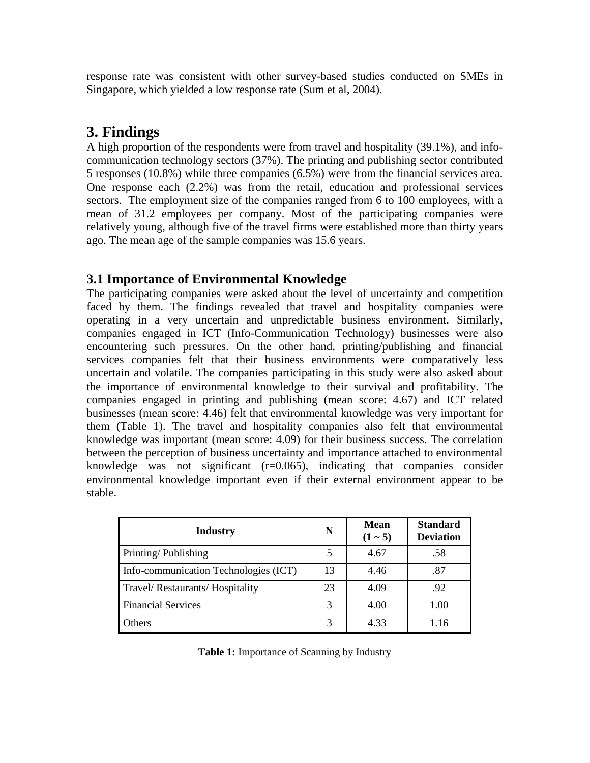response rate was consistent with other survey-based studies conducted on SMEs in Singapore, which yielded a low response rate (Sum et al, 2004).

## **3. Findings**

A high proportion of the respondents were from travel and hospitality (39.1%), and infocommunication technology sectors (37%). The printing and publishing sector contributed 5 responses (10.8%) while three companies (6.5%) were from the financial services area. One response each (2.2%) was from the retail, education and professional services sectors. The employment size of the companies ranged from 6 to 100 employees, with a mean of 31.2 employees per company. Most of the participating companies were relatively young, although five of the travel firms were established more than thirty years ago. The mean age of the sample companies was 15.6 years.

#### **3.1 Importance of Environmental Knowledge**

The participating companies were asked about the level of uncertainty and competition faced by them. The findings revealed that travel and hospitality companies were operating in a very uncertain and unpredictable business environment. Similarly, companies engaged in ICT (Info-Communication Technology) businesses were also encountering such pressures. On the other hand, printing/publishing and financial services companies felt that their business environments were comparatively less uncertain and volatile. The companies participating in this study were also asked about the importance of environmental knowledge to their survival and profitability. The companies engaged in printing and publishing (mean score: 4.67) and ICT related businesses (mean score: 4.46) felt that environmental knowledge was very important for them (Table 1). The travel and hospitality companies also felt that environmental knowledge was important (mean score: 4.09) for their business success. The correlation between the perception of business uncertainty and importance attached to environmental knowledge was not significant  $(r=0.065)$ , indicating that companies consider environmental knowledge important even if their external environment appear to be stable.

| <b>Industry</b>                       | N  | <b>Mean</b><br>$(1 - 5)$ | <b>Standard</b><br><b>Deviation</b> |
|---------------------------------------|----|--------------------------|-------------------------------------|
| Printing/Publishing                   | 5  | 4.67                     | .58                                 |
| Info-communication Technologies (ICT) | 13 | 4.46                     | .87                                 |
| Travel/Restaurants/Hospitality        | 23 | 4.09                     | .92                                 |
| <b>Financial Services</b>             | 3  | 4.00                     | 1.00                                |
| Others                                |    | 4.33                     | 1.16                                |

**Table 1:** Importance of Scanning by Industry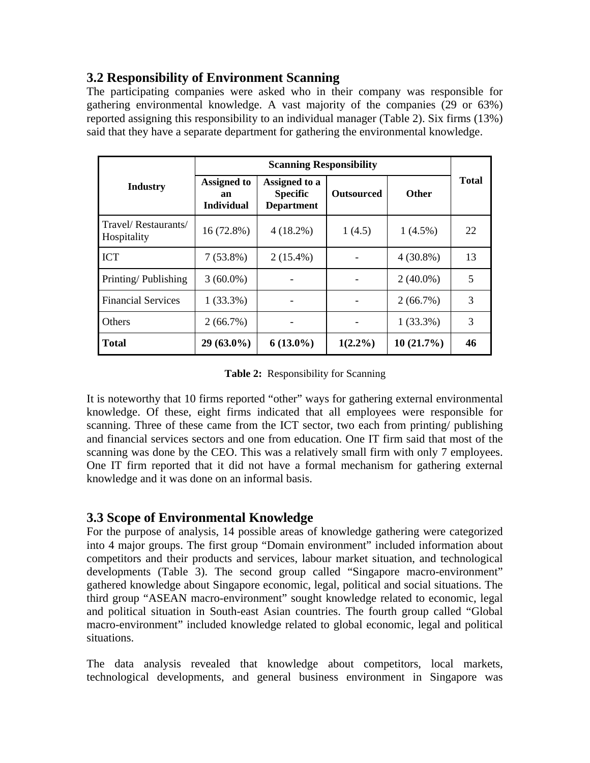#### **3.2 Responsibility of Environment Scanning**

The participating companies were asked who in their company was responsible for gathering environmental knowledge. A vast majority of the companies (29 or 63%) reported assigning this responsibility to an individual manager (Table 2). Six firms (13%) said that they have a separate department for gathering the environmental knowledge.

|                                    | <b>Scanning Responsibility</b>                |                                                       |                   |              |              |
|------------------------------------|-----------------------------------------------|-------------------------------------------------------|-------------------|--------------|--------------|
| <b>Industry</b>                    | <b>Assigned to</b><br>an<br><b>Individual</b> | Assigned to a<br><b>Specific</b><br><b>Department</b> | <b>Outsourced</b> | <b>Other</b> | <b>Total</b> |
| Travel/Restaurants/<br>Hospitality | $16(72.8\%)$                                  | $4(18.2\%)$                                           | 1(4.5)            | $1(4.5\%)$   | 22           |
| <b>ICT</b>                         | $7(53.8\%)$                                   | $2(15.4\%)$                                           |                   | $4(30.8\%)$  | 13           |
| Printing/Publishing                | $3(60.0\%)$                                   |                                                       |                   | $2(40.0\%)$  | 5            |
| <b>Financial Services</b>          | $1(33.3\%)$                                   |                                                       |                   | $2(66.7\%)$  | 3            |
| Others                             | 2(66.7%)                                      |                                                       |                   | $1(33.3\%)$  | 3            |
| <b>Total</b>                       | $29(63.0\%)$                                  | $6(13.0\%)$                                           | $1(2.2\%)$        | $10(21.7\%)$ | 46           |

**Table 2:** Responsibility for Scanning

It is noteworthy that 10 firms reported "other" ways for gathering external environmental knowledge. Of these, eight firms indicated that all employees were responsible for scanning. Three of these came from the ICT sector, two each from printing/ publishing and financial services sectors and one from education. One IT firm said that most of the scanning was done by the CEO. This was a relatively small firm with only 7 employees. One IT firm reported that it did not have a formal mechanism for gathering external knowledge and it was done on an informal basis.

#### **3.3 Scope of Environmental Knowledge**

For the purpose of analysis, 14 possible areas of knowledge gathering were categorized into 4 major groups. The first group "Domain environment" included information about competitors and their products and services, labour market situation, and technological developments (Table 3). The second group called "Singapore macro-environment" gathered knowledge about Singapore economic, legal, political and social situations. The third group "ASEAN macro-environment" sought knowledge related to economic, legal and political situation in South-east Asian countries. The fourth group called "Global macro-environment" included knowledge related to global economic, legal and political situations.

The data analysis revealed that knowledge about competitors, local markets, technological developments, and general business environment in Singapore was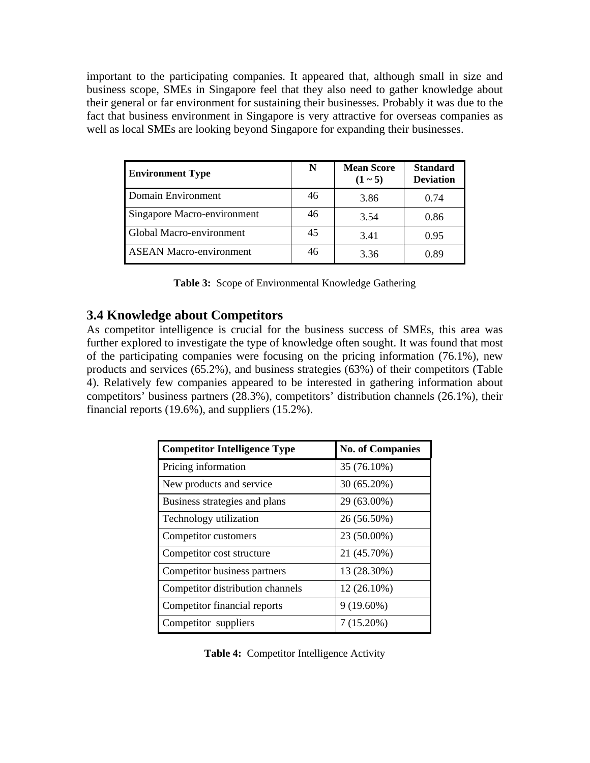important to the participating companies. It appeared that, although small in size and business scope, SMEs in Singapore feel that they also need to gather knowledge about their general or far environment for sustaining their businesses. Probably it was due to the fact that business environment in Singapore is very attractive for overseas companies as well as local SMEs are looking beyond Singapore for expanding their businesses.

| <b>Environment Type</b>         | N  | <b>Mean Score</b><br>$(1 - 5)$ | <b>Standard</b><br><b>Deviation</b> |
|---------------------------------|----|--------------------------------|-------------------------------------|
| Domain Environment              | 46 | 3.86                           | 0.74                                |
| Singapore Macro-environment     | 46 | 3.54                           | 0.86                                |
| <b>Global Macro-environment</b> | 45 | 3.41                           | 0.95                                |
| <b>ASEAN Macro-environment</b>  | 46 | 3.36                           | 0.89                                |

| Table 3: Scope of Environmental Knowledge Gathering |  |
|-----------------------------------------------------|--|
|-----------------------------------------------------|--|

#### **3.4 Knowledge about Competitors**

As competitor intelligence is crucial for the business success of SMEs, this area was further explored to investigate the type of knowledge often sought. It was found that most of the participating companies were focusing on the pricing information (76.1%), new products and services (65.2%), and business strategies (63%) of their competitors (Table 4). Relatively few companies appeared to be interested in gathering information about competitors' business partners (28.3%), competitors' distribution channels (26.1%), their financial reports (19.6%), and suppliers (15.2%).

| <b>Competitor Intelligence Type</b> | <b>No. of Companies</b> |
|-------------------------------------|-------------------------|
| Pricing information                 | 35 (76.10%)             |
| New products and service            | 30 (65.20%)             |
| Business strategies and plans       | 29 (63.00%)             |
| Technology utilization              | 26 (56.50%)             |
| Competitor customers                | 23 (50.00%)             |
| Competitor cost structure           | 21 (45.70%)             |
| Competitor business partners        | 13 (28.30%)             |
| Competitor distribution channels    | 12 (26.10%)             |
| Competitor financial reports        | $9(19.60\%)$            |
| Competitor suppliers                | 7 (15.20%)              |

Table 4: Competitor Intelligence Activity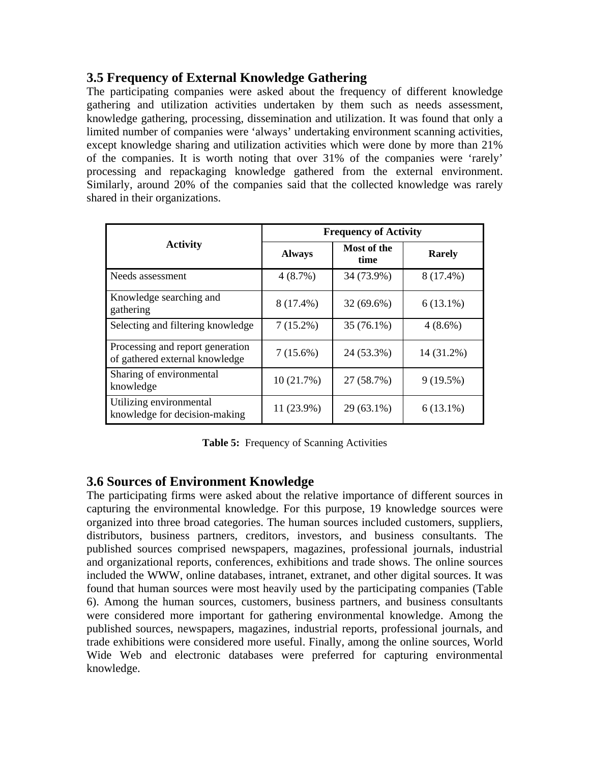#### **3.5 Frequency of External Knowledge Gathering**

The participating companies were asked about the frequency of different knowledge gathering and utilization activities undertaken by them such as needs assessment, knowledge gathering, processing, dissemination and utilization. It was found that only a limited number of companies were 'always' undertaking environment scanning activities, except knowledge sharing and utilization activities which were done by more than 21% of the companies. It is worth noting that over 31% of the companies were 'rarely' processing and repackaging knowledge gathered from the external environment. Similarly, around 20% of the companies said that the collected knowledge was rarely shared in their organizations.

|                                                                    | <b>Frequency of Activity</b> |                     |               |  |
|--------------------------------------------------------------------|------------------------------|---------------------|---------------|--|
| <b>Activity</b>                                                    | <b>Always</b>                | Most of the<br>time | <b>Rarely</b> |  |
| Needs assessment                                                   | $4(8.7\%)$                   | 34 (73.9%)          | 8 (17.4%)     |  |
| Knowledge searching and<br>gathering                               | 8 (17.4%)                    | $32(69.6\%)$        | $6(13.1\%)$   |  |
| Selecting and filtering knowledge                                  | $7(15.2\%)$                  | 35 (76.1%)          | $4(8.6\%)$    |  |
| Processing and report generation<br>of gathered external knowledge | $7(15.6\%)$                  | 24 (53.3%)          | 14 (31.2%)    |  |
| Sharing of environmental<br>knowledge                              | 10(21.7%)                    | 27 (58.7%)          | 9(19.5%)      |  |
| Utilizing environmental<br>knowledge for decision-making           | 11 (23.9%)                   | 29 (63.1%)          | $6(13.1\%)$   |  |

**Table 5:** Frequency of Scanning Activities

#### **3.6 Sources of Environment Knowledge**

The participating firms were asked about the relative importance of different sources in capturing the environmental knowledge. For this purpose, 19 knowledge sources were organized into three broad categories. The human sources included customers, suppliers, distributors, business partners, creditors, investors, and business consultants. The published sources comprised newspapers, magazines, professional journals, industrial and organizational reports, conferences, exhibitions and trade shows. The online sources included the WWW, online databases, intranet, extranet, and other digital sources. It was found that human sources were most heavily used by the participating companies (Table 6). Among the human sources, customers, business partners, and business consultants were considered more important for gathering environmental knowledge. Among the published sources, newspapers, magazines, industrial reports, professional journals, and trade exhibitions were considered more useful. Finally, among the online sources, World Wide Web and electronic databases were preferred for capturing environmental knowledge.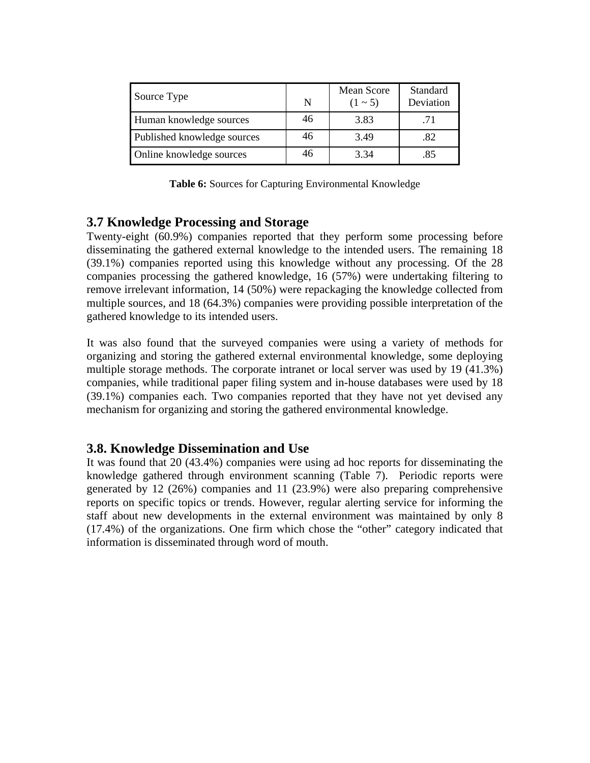| Source Type                 | N  | Mean Score<br>$(1 - 5)$ | Standard<br>Deviation |
|-----------------------------|----|-------------------------|-----------------------|
| Human knowledge sources     | 46 | 3.83                    | .71                   |
| Published knowledge sources | 46 | 3.49                    | .82                   |
| Online knowledge sources    | 46 | 3.34                    | .85                   |

**Table 6:** Sources for Capturing Environmental Knowledge

#### **3.7 Knowledge Processing and Storage**

Twenty-eight (60.9%) companies reported that they perform some processing before disseminating the gathered external knowledge to the intended users. The remaining 18 (39.1%) companies reported using this knowledge without any processing. Of the 28 companies processing the gathered knowledge, 16 (57%) were undertaking filtering to remove irrelevant information, 14 (50%) were repackaging the knowledge collected from multiple sources, and 18 (64.3%) companies were providing possible interpretation of the gathered knowledge to its intended users.

It was also found that the surveyed companies were using a variety of methods for organizing and storing the gathered external environmental knowledge, some deploying multiple storage methods. The corporate intranet or local server was used by 19 (41.3%) companies, while traditional paper filing system and in-house databases were used by 18 (39.1%) companies each. Two companies reported that they have not yet devised any mechanism for organizing and storing the gathered environmental knowledge.

#### **3.8. Knowledge Dissemination and Use**

It was found that 20 (43.4%) companies were using ad hoc reports for disseminating the knowledge gathered through environment scanning (Table 7). Periodic reports were generated by 12 (26%) companies and 11 (23.9%) were also preparing comprehensive reports on specific topics or trends. However, regular alerting service for informing the staff about new developments in the external environment was maintained by only 8 (17.4%) of the organizations. One firm which chose the "other" category indicated that information is disseminated through word of mouth.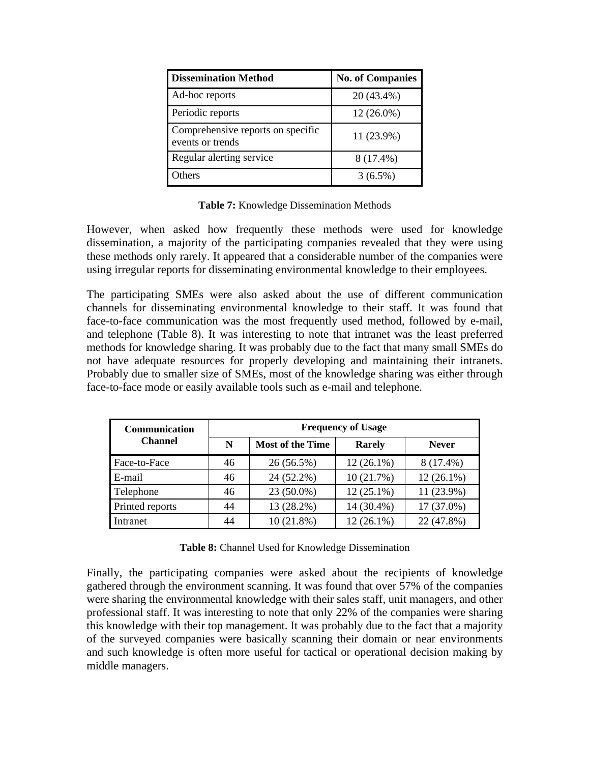| <b>Dissemination Method</b>                           | <b>No. of Companies</b> |
|-------------------------------------------------------|-------------------------|
| Ad-hoc reports                                        | 20 (43.4%)              |
| Periodic reports                                      | $12(26.0\%)$            |
| Comprehensive reports on specific<br>events or trends | 11 (23.9%)              |
| Regular alerting service                              | 8 (17.4%)               |
| <b>Others</b>                                         | $3(6.5\%)$              |

**Table 7:** Knowledge Dissemination Methods

However, when asked how frequently these methods were used for knowledge dissemination, a majority of the participating companies revealed that they were using these methods only rarely. It appeared that a considerable number of the companies were using irregular reports for disseminating environmental knowledge to their employees.

The participating SMEs were also asked about the use of different communication channels for disseminating environmental knowledge to their staff. It was found that face-to-face communication was the most frequently used method, followed by e-mail, and telephone (Table 8). It was interesting to note that intranet was the least preferred methods for knowledge sharing. It was probably due to the fact that many small SMEs do not have adequate resources for properly developing and maintaining their intranets. Probably due to smaller size of SMEs, most of the knowledge sharing was either through face-to-face mode or easily available tools such as e-mail and telephone.

| Communication   | <b>Frequency of Usage</b> |                         |               |              |
|-----------------|---------------------------|-------------------------|---------------|--------------|
| <b>Channel</b>  | N                         | <b>Most of the Time</b> | <b>Rarely</b> | <b>Never</b> |
| Face-to-Face    | 46                        | 26 (56.5%)              | $12(26.1\%)$  | 8 (17.4%)    |
| E-mail          | 46                        | 24 (52.2%)              | 10(21.7%)     | $12(26.1\%)$ |
| Telephone       | 46                        | 23 (50.0%)              | $12(25.1\%)$  | 11 (23.9%)   |
| Printed reports | 44                        | 13 (28.2%)              | 14 (30.4%)    | 17 (37.0%)   |
| Intranet        | 44                        | 10(21.8%)               | $12(26.1\%)$  | 22 (47.8%)   |

Table 8: Channel Used for Knowledge Dissemination

Finally, the participating companies were asked about the recipients of knowledge gathered through the environment scanning. It was found that over 57% of the companies were sharing the environmental knowledge with their sales staff, unit managers, and other professional staff. It was interesting to note that only 22% of the companies were sharing this knowledge with their top management. It was probably due to the fact that a majority of the surveyed companies were basically scanning their domain or near environments and such knowledge is often more useful for tactical or operational decision making by middle managers.